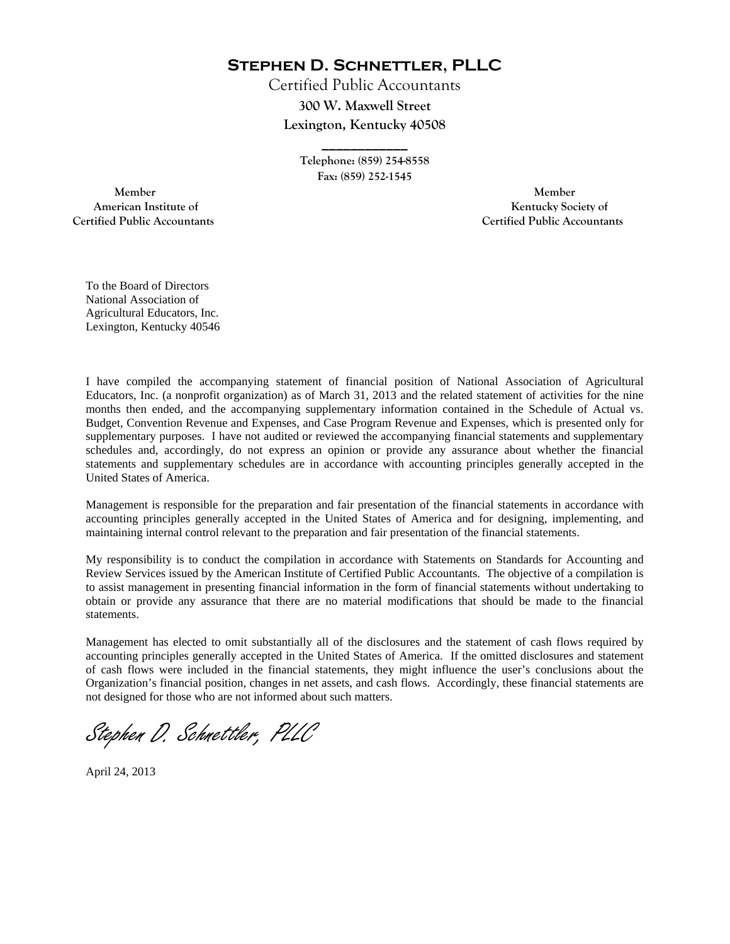**Stephen D. Schnettler, PLLC**

Certified Public Accountants **300 W. Maxwell Street Lexington, Kentucky 40508** 

> **Telephone: (859) 254-8558 Fax: (859) 252-1545**

**\_\_\_\_\_\_\_\_\_\_\_\_** 

 **Member Member Certified Public Accountants Certified Public Accountants** 

American Institute of **Kentucky Society of American Institute of**  $\mathbb{R}^n$ 

To the Board of Directors National Association of Agricultural Educators, Inc. Lexington, Kentucky 40546

I have compiled the accompanying statement of financial position of National Association of Agricultural Educators, Inc. (a nonprofit organization) as of March 31, 2013 and the related statement of activities for the nine months then ended, and the accompanying supplementary information contained in the Schedule of Actual vs. Budget, Convention Revenue and Expenses, and Case Program Revenue and Expenses, which is presented only for supplementary purposes. I have not audited or reviewed the accompanying financial statements and supplementary schedules and, accordingly, do not express an opinion or provide any assurance about whether the financial statements and supplementary schedules are in accordance with accounting principles generally accepted in the United States of America.

Management is responsible for the preparation and fair presentation of the financial statements in accordance with accounting principles generally accepted in the United States of America and for designing, implementing, and maintaining internal control relevant to the preparation and fair presentation of the financial statements.

My responsibility is to conduct the compilation in accordance with Statements on Standards for Accounting and Review Services issued by the American Institute of Certified Public Accountants. The objective of a compilation is to assist management in presenting financial information in the form of financial statements without undertaking to obtain or provide any assurance that there are no material modifications that should be made to the financial statements.

Management has elected to omit substantially all of the disclosures and the statement of cash flows required by accounting principles generally accepted in the United States of America. If the omitted disclosures and statement of cash flows were included in the financial statements, they might influence the user's conclusions about the Organization's financial position, changes in net assets, and cash flows. Accordingly, these financial statements are not designed for those who are not informed about such matters.

Stephen D. Schnettler, PLLC

April 24, 2013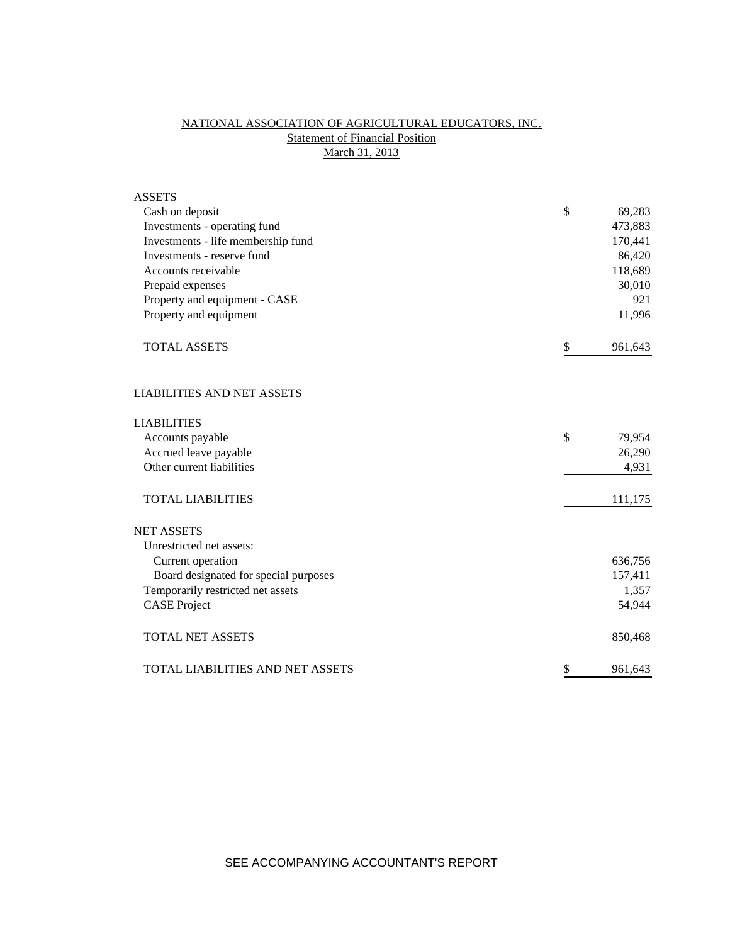# NATIONAL ASSOCIATION OF AGRICULTURAL EDUCATORS, INC. **Statement of Financial Position** March 31, 2013

| <b>ASSETS</b>                         |               |
|---------------------------------------|---------------|
| Cash on deposit                       | \$<br>69,283  |
| Investments - operating fund          | 473,883       |
| Investments - life membership fund    | 170,441       |
| Investments - reserve fund            | 86,420        |
| Accounts receivable                   | 118,689       |
| Prepaid expenses                      | 30,010        |
| Property and equipment - CASE         | 921           |
| Property and equipment                | 11,996        |
| <b>TOTAL ASSETS</b>                   | \$<br>961,643 |
| <b>LIABILITIES AND NET ASSETS</b>     |               |
| <b>LIABILITIES</b>                    |               |
| Accounts payable                      | \$<br>79,954  |
| Accrued leave payable                 | 26,290        |
| Other current liabilities             | 4,931         |
| <b>TOTAL LIABILITIES</b>              | 111,175       |
| <b>NET ASSETS</b>                     |               |
| Unrestricted net assets:              |               |
| Current operation                     | 636,756       |
| Board designated for special purposes | 157,411       |
| Temporarily restricted net assets     | 1,357         |
| <b>CASE Project</b>                   | 54,944        |
| <b>TOTAL NET ASSETS</b>               | 850,468       |
| TOTAL LIABILITIES AND NET ASSETS      | \$<br>961,643 |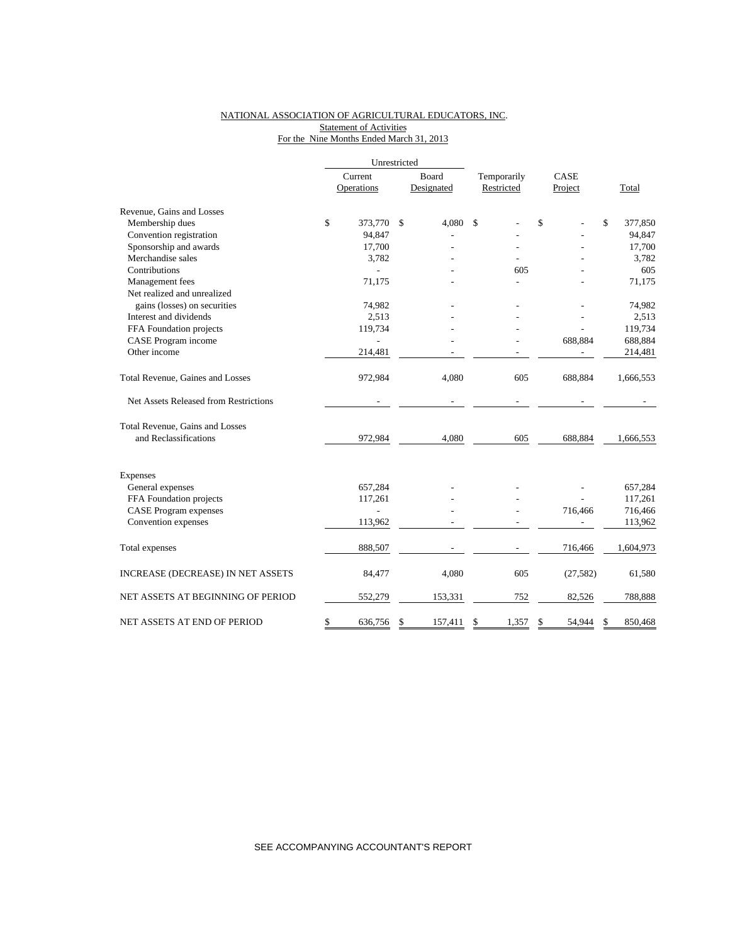### NATIONAL ASSOCIATION OF AGRICULTURAL EDUCATORS, INC. Statement of Activities For the Nine Months Ended March 31, 2013

|                                       |         | Unrestricted |       |            |             |      |           |               |           |
|---------------------------------------|---------|--------------|-------|------------|-------------|------|-----------|---------------|-----------|
|                                       | Current |              | Board |            | Temporarily | CASE |           |               |           |
|                                       |         | Operations   |       | Designated | Restricted  |      | Project   |               | Total     |
| Revenue, Gains and Losses             |         |              |       |            |             |      |           |               |           |
| Membership dues                       | \$      | 373,770      | \$    | 4,080      | \$          | \$   |           | \$            | 377,850   |
| Convention registration               |         | 94,847       |       |            |             |      |           |               | 94,847    |
| Sponsorship and awards                |         | 17,700       |       |            |             |      |           |               | 17,700    |
| Merchandise sales                     |         | 3,782        |       |            |             |      |           |               | 3,782     |
| Contributions                         |         |              |       |            | 605         |      |           |               | 605       |
| Management fees                       |         | 71,175       |       |            |             |      |           |               | 71,175    |
| Net realized and unrealized           |         |              |       |            |             |      |           |               |           |
| gains (losses) on securities          |         | 74,982       |       |            |             |      |           |               | 74,982    |
| Interest and dividends                |         | 2,513        |       |            |             |      |           |               | 2,513     |
| FFA Foundation projects               |         | 119,734      |       |            |             |      |           |               | 119,734   |
| CASE Program income                   |         |              |       |            |             |      | 688,884   |               | 688,884   |
| Other income                          |         | 214,481      |       |            |             |      |           |               | 214,481   |
| Total Revenue, Gaines and Losses      |         | 972,984      |       | 4,080      | 605         |      | 688,884   |               | 1,666,553 |
| Net Assets Released from Restrictions |         |              |       |            |             |      |           |               |           |
| Total Revenue, Gains and Losses       |         |              |       |            |             |      |           |               |           |
| and Reclassifications                 |         | 972,984      |       | 4,080      | 605         |      | 688,884   |               | 1,666,553 |
| <b>Expenses</b>                       |         |              |       |            |             |      |           |               |           |
| General expenses                      |         | 657,284      |       |            |             |      |           |               | 657,284   |
| FFA Foundation projects               |         | 117,261      |       |            |             |      |           |               | 117,261   |
| <b>CASE Program expenses</b>          |         |              |       |            |             |      | 716,466   |               | 716,466   |
| Convention expenses                   |         | 113,962      |       |            |             |      |           |               | 113,962   |
| Total expenses                        |         | 888,507      |       |            |             |      | 716,466   |               | 1,604,973 |
| INCREASE (DECREASE) IN NET ASSETS     |         | 84,477       |       | 4,080      | 605         |      | (27, 582) |               | 61,580    |
| NET ASSETS AT BEGINNING OF PERIOD     |         | 552,279      |       | 153,331    | 752         |      | 82,526    |               | 788,888   |
| NET ASSETS AT END OF PERIOD           | \$      | 636.756      | \$    | 157,411    | \$<br>1.357 | \$   | 54.944    | <sup>\$</sup> | 850,468   |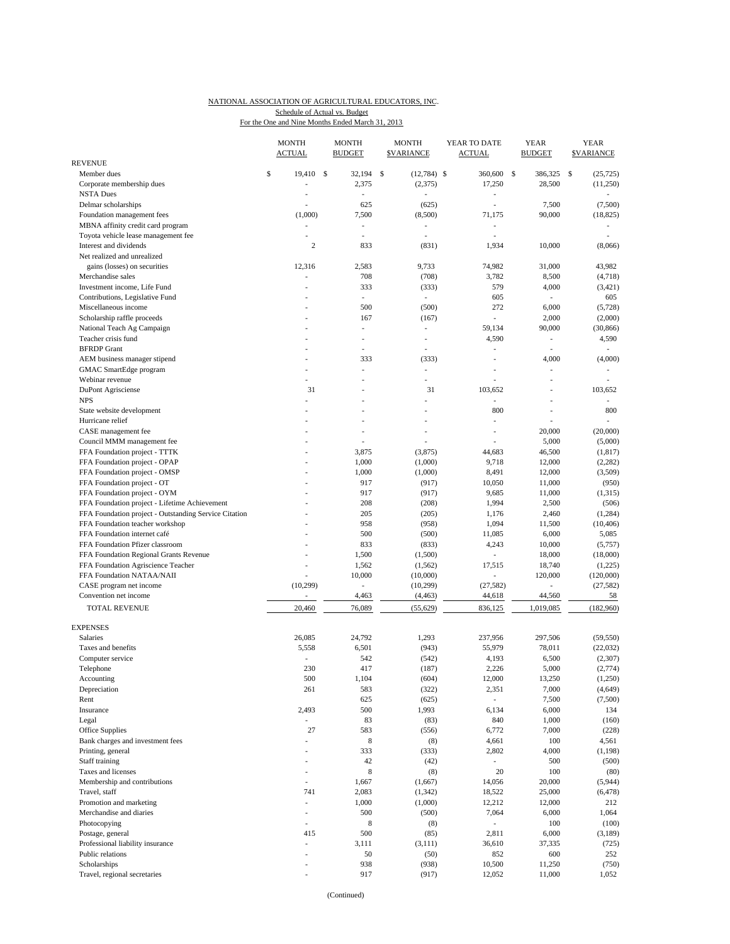## NATIONAL ASSOCIATION OF AGRICULTURAL EDUCATORS, INC. Schedule of Actual vs. Budget

For the One and Nine Months Ended March 31, 2013

|                                                       | <b>MONTH</b><br><b>ACTUAL</b> | <b>MONTH</b><br><b>BUDGET</b> | <b>MONTH</b><br><b>SVARIANCE</b> | YEAR TO DATE<br><b>ACTUAL</b> | <b>YEAR</b><br><b>BUDGET</b> | <b>YEAR</b><br><b>SVARIANCE</b> |
|-------------------------------------------------------|-------------------------------|-------------------------------|----------------------------------|-------------------------------|------------------------------|---------------------------------|
| REVENUE                                               |                               |                               |                                  |                               |                              |                                 |
| Member dues                                           | \$<br>19,410                  | -S<br>32,194                  | \$<br>$(12,784)$ \$              | 360,600                       | <sup>\$</sup><br>386,325     | <sup>\$</sup><br>(25, 725)      |
| Corporate membership dues                             |                               | 2,375                         | (2,375)                          | 17,250                        | 28,500                       | (11,250)                        |
| <b>NSTA Dues</b>                                      | L,                            | L,                            |                                  | $\qquad \qquad \blacksquare$  |                              |                                 |
| Delmar scholarships                                   |                               | 625                           | (625)                            | $\overline{\phantom{a}}$      | 7,500                        | (7,500)                         |
| Foundation management fees                            | (1,000)                       | 7,500                         | (8,500)                          | 71,175                        | 90,000                       | (18, 825)                       |
| MBNA affinity credit card program                     | $\overline{a}$                | ÷,                            | $\overline{a}$                   | ٠                             |                              |                                 |
| Toyota vehicle lease management fee                   | ä,                            | $\overline{\phantom{a}}$      | ٠                                | $\overline{\phantom{a}}$      |                              |                                 |
| Interest and dividends<br>Net realized and unrealized | $\mathbf{2}$                  | 833                           | (831)                            | 1,934                         | 10,000                       | (8,066)                         |
| gains (losses) on securities                          | 12,316                        | 2,583                         | 9,733                            | 74,982                        | 31,000                       | 43,982                          |
| Merchandise sales                                     |                               | 708                           | (708)                            | 3,782                         | 8,500                        | (4,718)                         |
| Investment income, Life Fund                          |                               | 333                           | (333)                            | 579                           | 4,000                        | (3,421)                         |
| Contributions, Legislative Fund                       |                               | ÷.                            | $\sim$                           | 605                           | $\mathcal{L}_{\mathcal{A}}$  | 605                             |
| Miscellaneous income                                  |                               | 500                           | (500)                            | 272                           | 6,000                        | (5,728)                         |
| Scholarship raffle proceeds                           |                               | 167                           | (167)                            | ÷                             | 2,000                        | (2,000)                         |
| National Teach Ag Campaign                            |                               | ÷,                            | $\overline{\phantom{a}}$         | 59,134                        | 90,000                       | (30, 866)                       |
| Teacher crisis fund                                   |                               | ٠                             | $\overline{\phantom{a}}$         | 4,590                         | L,                           | 4,590                           |
| <b>BFRDP</b> Grant                                    |                               | ÷,                            | $\overline{a}$                   |                               | L,                           |                                 |
| AEM business manager stipend                          |                               | 333                           | (333)                            | L,                            | 4,000                        | (4,000)                         |
| GMAC SmartEdge program                                |                               | ÷,                            | $\sim$                           | ÷,                            | ÷,                           | ÷.                              |
| Webinar revenue                                       |                               |                               | $\sim$                           |                               | $\overline{a}$               |                                 |
| DuPont Agrisciense                                    | 31                            |                               | 31                               | 103,652                       |                              | 103,652                         |
| <b>NPS</b>                                            | ÷.                            | ÷,                            | $\overline{\phantom{a}}$         | ä,                            | Ĭ.                           |                                 |
| State website development                             |                               | ÷,                            |                                  | 800                           | L.                           | 800                             |
| Hurricane relief                                      |                               | ٠                             |                                  |                               |                              |                                 |
| CASE management fee                                   |                               | ÷,                            |                                  | $\overline{a}$                | 20,000                       | (20,000)                        |
| Council MMM management fee                            |                               |                               |                                  |                               | 5,000                        | (5,000)                         |
| FFA Foundation project - TTTK                         |                               | 3,875                         | (3, 875)                         | 44,683                        | 46,500                       | (1, 817)                        |
| FFA Foundation project - OPAP                         |                               | 1,000                         | (1,000)                          | 9,718                         | 12,000                       | (2,282)                         |
| FFA Foundation project - OMSP                         |                               | 1,000                         | (1,000)                          | 8,491                         | 12,000                       | (3,509)                         |
| FFA Foundation project - OT                           |                               | 917                           | (917)                            | 10,050                        | 11,000                       | (950)                           |
| FFA Foundation project - OYM                          |                               | 917                           | (917)                            | 9,685                         | 11,000                       | (1,315)                         |
| FFA Foundation project - Lifetime Achievement         |                               | 208                           | (208)                            | 1,994                         | 2,500                        | (506)                           |
| FFA Foundation project - Outstanding Service Citation |                               | 205                           | (205)                            | 1,176                         | 2,460                        | (1,284)                         |
| FFA Foundation teacher workshop                       |                               | 958                           | (958)                            | 1,094                         | 11,500                       | (10, 406)                       |
| FFA Foundation internet café                          |                               | 500                           | (500)                            | 11,085                        | 6,000                        | 5,085                           |
| FFA Foundation Pfizer classroom                       |                               | 833                           | (833)                            | 4,243                         | 10,000                       | (5,757)                         |
| FFA Foundation Regional Grants Revenue                |                               | 1,500                         | (1,500)                          | ٠                             | 18,000                       | (18,000)                        |
| FFA Foundation Agriscience Teacher                    |                               | 1,562                         | (1, 562)                         | 17,515                        | 18,740                       | (1,225)                         |
| FFA Foundation NATAA/NAII                             |                               | 10,000                        | (10,000)                         | ٠                             | 120,000                      | (120,000)                       |
| CASE program net income                               | (10, 299)                     | $\frac{1}{2}$                 | (10, 299)                        | (27, 582)                     | $\overline{a}$               | (27, 582)                       |
| Convention net income                                 | $\overline{a}$                | 4,463                         | (4, 463)                         | 44,618                        | 44,560                       | 58                              |
| <b>TOTAL REVENUE</b>                                  | 20,460                        | 76,089                        | (55, 629)                        | 836,125                       | 1,019,085                    | (182,960)                       |
|                                                       |                               |                               |                                  |                               |                              |                                 |
| <b>EXPENSES</b>                                       |                               |                               |                                  |                               |                              |                                 |
| <b>Salaries</b>                                       | 26,085                        | 24,792                        | 1,293                            | 237,956                       | 297,506                      | (59, 550)                       |
| Taxes and benefits                                    | 5,558                         | 6,501                         | (943)                            | 55,979                        | 78,011                       | (22, 032)                       |
| Computer service                                      |                               | 542                           | (542)                            | 4,193                         | 6,500                        | (2,307)                         |
| Telephone                                             | 230                           | 417                           | (187)                            | 2,226                         | 5,000                        | (2,774)                         |
| Accounting                                            | 500                           | 1,104                         | (604)                            | 12,000                        | 13,250                       | (1,250)                         |
| Depreciation                                          | 261                           | 583                           | (322)                            | 2,351                         | 7,000                        | (4,649)                         |
| Rent                                                  |                               | 625                           | (625)                            | $\mathcal{L}_{\mathcal{A}}$   | 7,500                        | (7,500)                         |
| Insurance                                             | 2,493                         | 500                           | 1,993                            | 6,134                         | 6,000                        | 134                             |
| Legal                                                 | ÷,                            | 83                            | (83)                             | 840                           | 1,000                        | (160)                           |
| Office Supplies                                       | 27                            | 583                           | (556)                            | 6,772                         | 7,000                        | (228)                           |
| Bank charges and investment fees                      |                               | $\,$ 8 $\,$                   | (8)                              | 4,661                         | 100                          | 4,561                           |
| Printing, general                                     |                               | 333                           | (333)                            | 2,802                         | 4,000                        | (1, 198)                        |
| Staff training                                        | ٠                             | 42                            | (42)                             | $\sim$                        | 500                          | (500)                           |
| Taxes and licenses                                    | ٠                             | $\,$ 8 $\,$                   | (8)                              | 20                            | 100                          | (80)                            |
| Membership and contributions                          | ÷,                            | 1,667                         | (1,667)                          | 14,056                        | 20,000                       | (5,944)                         |
| Travel, staff                                         | 741                           | 2,083                         | (1, 342)                         | 18,522                        | 25,000                       | (6, 478)                        |
| Promotion and marketing                               | L,                            | 1,000                         | (1,000)                          | 12,212                        | 12,000                       | 212                             |
| Merchandise and diaries                               | ÷,                            | 500                           | (500)                            | 7,064                         | 6,000                        | 1,064                           |
| Photocopying                                          | L,                            | 8                             | (8)                              | $\overline{\phantom{a}}$      | 100                          | (100)                           |
| Postage, general                                      | 415                           | 500                           | (85)                             | 2,811                         | 6,000                        | (3,189)                         |
| Professional liability insurance                      | $\overline{a}$                | 3,111                         | (3, 111)                         | 36,610                        | 37,335                       | (725)                           |
| Public relations                                      | ٠                             | 50                            | (50)                             | 852                           | 600                          | 252                             |
| Scholarships                                          | ٠                             | 938                           | (938)                            | 10,500                        | 11,250                       | (750)                           |
| Travel, regional secretaries                          | ä,                            | 917                           | (917)                            | 12,052                        | 11,000                       | 1,052                           |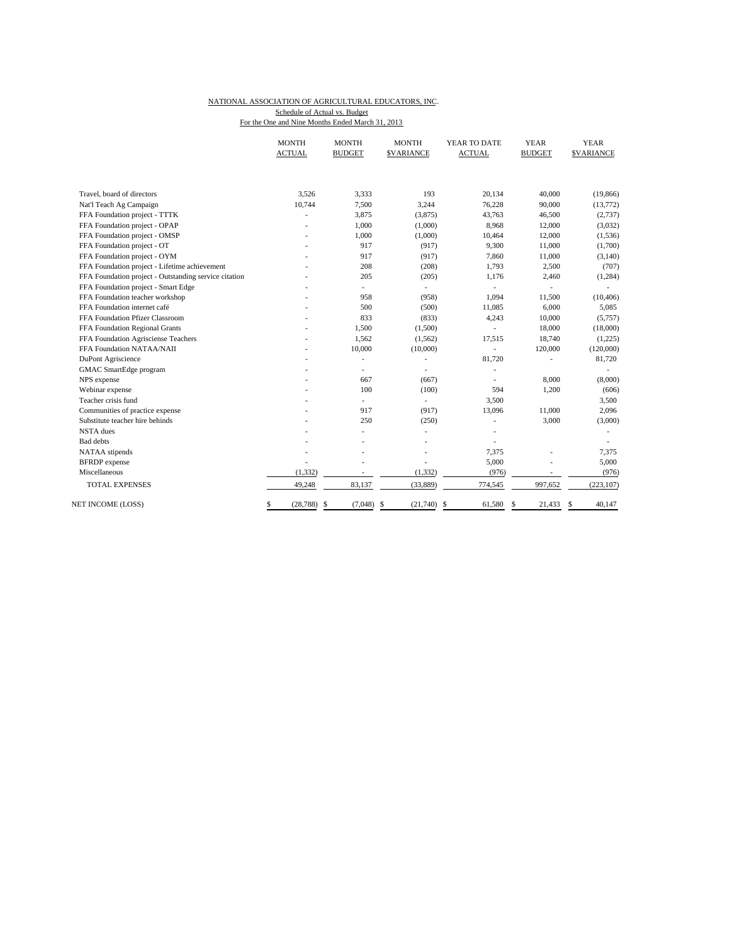### NATIONAL ASSOCIATION OF AGRICULTURAL EDUCATORS, INC. For the One and Nine Months Ended March 31, 2013 Schedule of Actual vs. Budget

|                                                       | <b>MONTH</b><br><b>ACTUAL</b> | <b>MONTH</b><br><b>BUDGET</b> | <b>MONTH</b><br><b>\$VARIANCE</b> | YEAR TO DATE<br><b>ACTUAL</b> | YEAR<br><b>BUDGET</b> | YEAR<br><b>SVARIANCE</b> |
|-------------------------------------------------------|-------------------------------|-------------------------------|-----------------------------------|-------------------------------|-----------------------|--------------------------|
|                                                       |                               |                               |                                   |                               |                       |                          |
| Travel, board of directors                            | 3,526                         | 3,333                         | 193                               | 20,134                        | 40,000                | (19, 866)                |
| Nat'l Teach Ag Campaign                               | 10,744                        | 7,500                         | 3,244                             | 76,228                        | 90,000                | (13,772)                 |
| FFA Foundation project - TTTK                         |                               | 3,875                         | (3,875)                           | 43,763                        | 46,500                | (2,737)                  |
| FFA Foundation project - OPAP                         |                               | 1,000                         | (1,000)                           | 8,968                         | 12,000                | (3,032)                  |
| FFA Foundation project - OMSP                         |                               | 1,000                         | (1,000)                           | 10,464                        | 12,000                | (1,536)                  |
| FFA Foundation project - OT                           |                               | 917                           | (917)                             | 9,300                         | 11,000                | (1,700)                  |
| FFA Foundation project - OYM                          |                               | 917                           | (917)                             | 7,860                         | 11,000                | (3, 140)                 |
| FFA Foundation project - Lifetime achievement         |                               | 208                           | (208)                             | 1,793                         | 2,500                 | (707)                    |
| FFA Foundation project - Outstanding service citation |                               | 205                           | (205)                             | 1,176                         | 2,460                 | (1, 284)                 |
| FFA Foundation project - Smart Edge                   |                               | ÷.                            | ٠                                 |                               |                       |                          |
| FFA Foundation teacher workshop                       |                               | 958                           | (958)                             | 1,094                         | 11,500                | (10, 406)                |
| FFA Foundation internet café                          |                               | 500                           | (500)                             | 11,085                        | 6,000                 | 5,085                    |
| FFA Foundation Pfizer Classroom                       |                               | 833                           | (833)                             | 4,243                         | 10,000                | (5,757)                  |
| FFA Foundation Regional Grants                        |                               | 1,500                         | (1,500)                           | $\overline{\phantom{a}}$      | 18,000                | (18,000)                 |
| FFA Foundation Agrisciense Teachers                   |                               | 1,562                         | (1, 562)                          | 17,515                        | 18,740                | (1,225)                  |
| FFA Foundation NATAA/NAII                             |                               | 10,000                        | (10,000)                          | $\sim$                        | 120,000               | (120,000)                |
| DuPont Agriscience                                    |                               | ٠                             | $\overline{\phantom{a}}$          | 81,720                        |                       | 81,720                   |
| GMAC SmartEdge program                                |                               | ÷,                            | $\overline{\phantom{a}}$          |                               |                       |                          |
| NPS expense                                           |                               | 667                           | (667)                             |                               | 8,000                 | (8,000)                  |
| Webinar expense                                       |                               | 100                           | (100)                             | 594                           | 1,200                 | (606)                    |
| Teacher crisis fund                                   |                               | $\overline{a}$                | ٠                                 | 3,500                         |                       | 3,500                    |
| Communities of practice expense                       |                               | 917                           | (917)                             | 13,096                        | 11,000                | 2,096                    |
| Substitute teacher hire behinds                       |                               | 250                           | (250)                             |                               | 3,000                 | (3,000)                  |
| <b>NSTA</b> dues                                      |                               | ÷,                            | ä,                                |                               |                       |                          |
| <b>Bad</b> debts                                      |                               |                               |                                   |                               |                       |                          |
| NATAA stipends                                        |                               |                               |                                   | 7,375                         |                       | 7,375                    |
| <b>BFRDP</b> expense                                  |                               |                               |                                   | 5,000                         |                       | 5,000                    |
| Miscellaneous                                         | (1, 332)                      |                               | (1, 332)                          | (976)                         |                       | (976)                    |
| <b>TOTAL EXPENSES</b>                                 | 49,248                        | 83,137                        | (33, 889)                         | 774,545                       | 997,652               | (223, 107)               |
| NET INCOME (LOSS)                                     | (28, 788)<br>\$               | \$<br>(7,048)                 | -\$<br>(21,740)                   | 61,580<br>-\$                 | \$<br>21,433          | 40,147<br>\$             |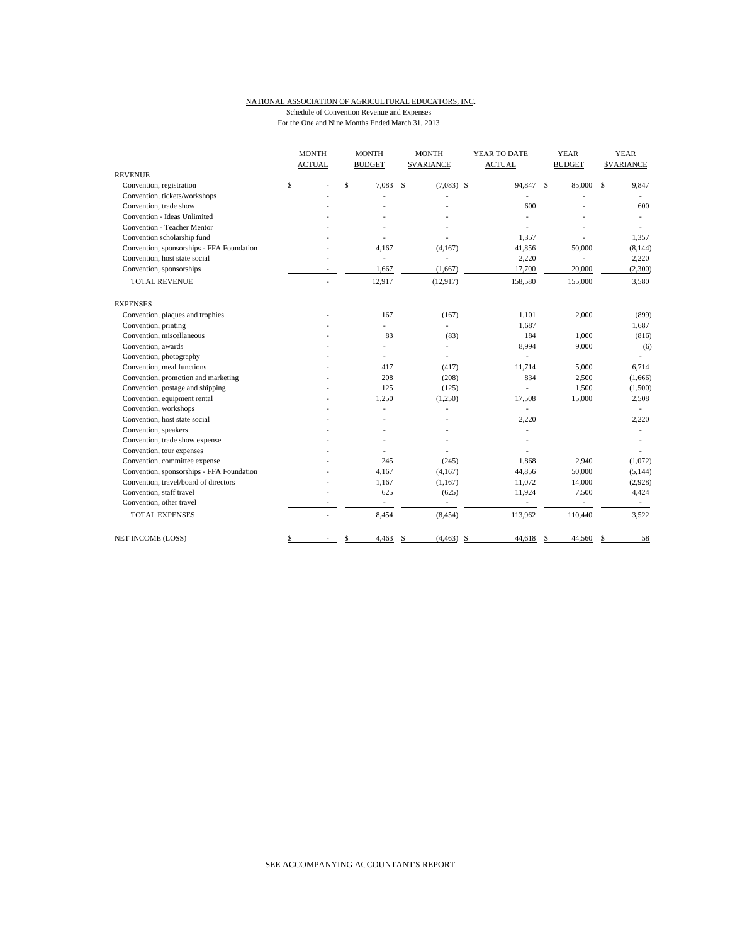#### NATIONAL ASSOCIATION OF AGRICULTURAL EDUCATORS, INC. Schedule of Convention Revenue and Expenses For the One and Nine Months Ended March 31, 2013

|                                           | <b>MONTH</b>  |    | <b>MONTH</b>             |              | <b>MONTH</b>             | YEAR TO DATE                   | <b>YEAR</b> |        | <b>YEAR</b>   |                  |
|-------------------------------------------|---------------|----|--------------------------|--------------|--------------------------|--------------------------------|-------------|--------|---------------|------------------|
|                                           | <b>ACTUAL</b> |    | <b>BUDGET</b>            |              | <b>\$VARIANCE</b>        | <b>ACTUAL</b><br><b>BUDGET</b> |             |        |               | <b>SVARIANCE</b> |
| <b>REVENUE</b>                            |               |    |                          |              |                          |                                |             |        |               |                  |
| Convention, registration                  | \$            | \$ | 7.083                    | $\mathbf{s}$ | $(7,083)$ \$             | 94,847 \$                      |             | 85,000 | <sup>\$</sup> | 9,847            |
| Convention, tickets/workshops             |               |    |                          |              |                          |                                |             |        |               |                  |
| Convention, trade show                    |               |    |                          |              |                          | 600                            |             |        |               | 600              |
| Convention - Ideas Unlimited              |               |    |                          |              |                          |                                |             |        |               |                  |
| Convention - Teacher Mentor               |               |    |                          |              |                          |                                |             |        |               |                  |
| Convention scholarship fund               |               |    |                          |              |                          | 1.357                          |             |        |               | 1,357            |
| Convention, sponsorships - FFA Foundation |               |    | 4,167                    |              | (4,167)                  | 41,856                         | 50,000      |        |               | (8, 144)         |
| Convention, host state social             |               |    | L.                       |              |                          | 2,220                          |             |        |               | 2,220            |
| Convention, sponsorships                  |               |    | 1,667                    |              | (1,667)                  | 17,700                         |             | 20,000 |               | (2,300)          |
| <b>TOTAL REVENUE</b>                      |               |    | 12,917                   |              | (12, 917)                | 158,580                        | 155,000     |        |               | 3,580            |
| <b>EXPENSES</b>                           |               |    |                          |              |                          |                                |             |        |               |                  |
| Convention, plaques and trophies          |               |    | 167                      |              | (167)                    | 1,101                          |             | 2,000  |               | (899)            |
| Convention, printing                      |               |    | $\overline{\phantom{0}}$ |              | L.                       | 1,687                          |             |        |               | 1,687            |
| Convention, miscellaneous                 |               |    | 83                       |              | (83)                     | 184                            |             | 1,000  |               | (816)            |
| Convention, awards                        |               |    |                          |              | ÷,                       | 8,994                          |             | 9,000  |               | (6)              |
| Convention, photography                   |               |    |                          |              | ÷,                       | ÷,                             |             |        |               |                  |
| Convention, meal functions                |               |    | 417                      |              | (417)                    | 11,714                         |             | 5,000  |               | 6,714            |
| Convention, promotion and marketing       |               |    | 208                      |              | (208)                    | 834                            |             | 2,500  |               | (1,666)          |
| Convention, postage and shipping          |               |    | 125                      |              | (125)                    |                                |             | 1,500  |               | (1,500)          |
| Convention, equipment rental              |               |    | 1,250                    |              | (1,250)                  | 17,508                         |             | 15,000 |               | 2,508            |
| Convention, workshops                     |               |    |                          |              |                          | ÷.                             |             |        |               |                  |
| Convention, host state social             |               |    |                          |              |                          | 2,220                          |             |        |               | 2,220            |
| Convention, speakers                      |               |    |                          |              |                          |                                |             |        |               |                  |
| Convention, trade show expense            |               |    |                          |              |                          |                                |             |        |               |                  |
| Convention, tour expenses                 |               |    |                          |              |                          |                                |             |        |               |                  |
| Convention, committee expense             |               |    | 245                      |              | (245)                    | 1.868                          |             | 2,940  |               | (1,072)          |
| Convention, sponsorships - FFA Foundation |               |    | 4,167                    |              | (4,167)                  | 44,856                         |             | 50,000 |               | (5, 144)         |
| Convention, travel/board of directors     |               |    | 1,167                    |              | (1,167)                  | 11,072                         |             | 14,000 |               | (2,928)          |
| Convention, staff travel                  |               |    | 625                      |              | (625)                    | 11,924                         |             | 7,500  |               | 4,424            |
| Convention, other travel                  |               |    | $\overline{\phantom{a}}$ |              | $\overline{\phantom{a}}$ | $\overline{\phantom{a}}$       |             | $\sim$ |               | $\sim$           |
| <b>TOTAL EXPENSES</b>                     |               |    | 8,454                    |              | (8, 454)                 | 113,962                        | 110,440     |        |               | 3,522            |
| NET INCOME (LOSS)                         | \$            | \$ | 4,463                    | \$           | (4, 463)                 | -\$<br>44,618                  | \$          | 44,560 | S             | 58               |